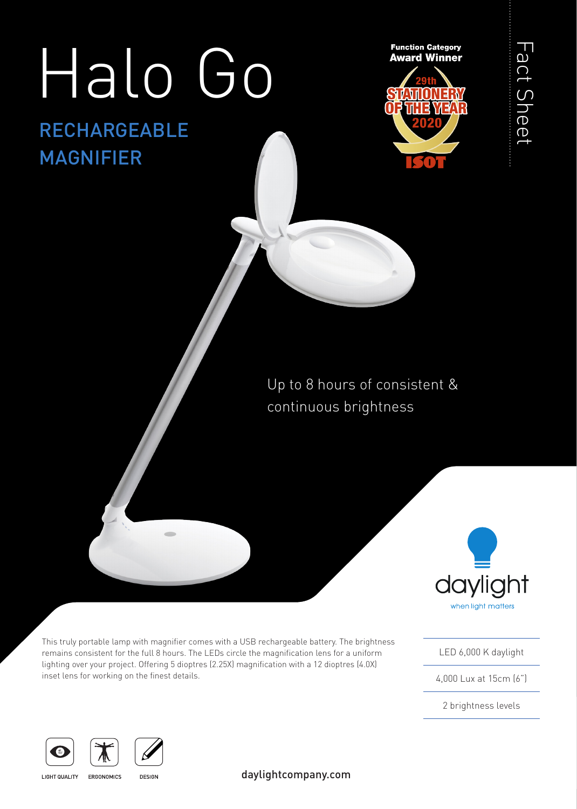# Halo Go

# RECHARGEABLE MAGNIFIER



Fact Sheet Fact Sheet

# Up to 8 hours of consistent & continuous brightness



This truly portable lamp with magnifier comes with a USB rechargeable battery. The brightness remains consistent for the full 8 hours. The LEDs circle the magnification lens for a uniform lighting over your project. Offering 5 dioptres (2.25X) magnification with a 12 dioptres (4.0X) inset lens for working on the finest details.

LED 6,000 K daylight

4,000 Lux at 15cm (6")

2 brightness levels





LIGHT QUALITY ERGONOMICS

**DESIGN**